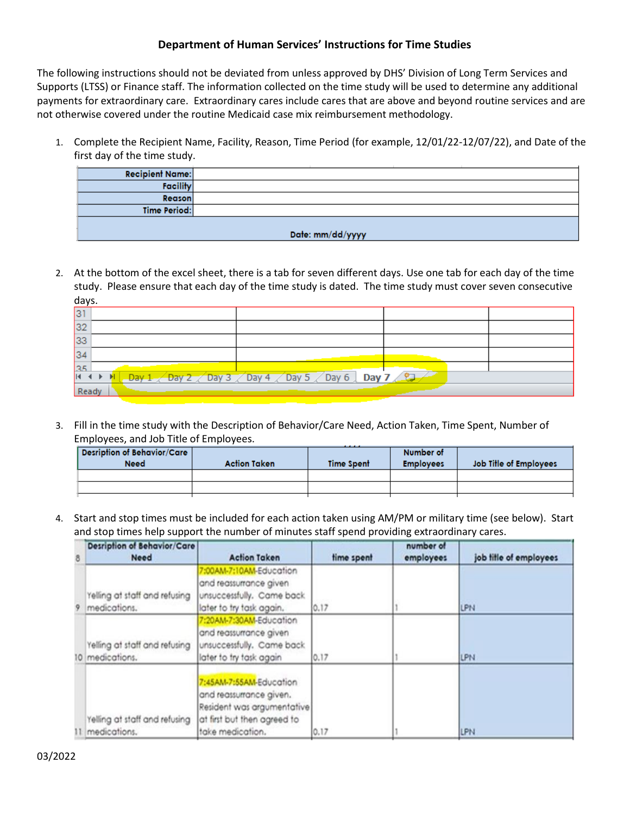## **Department of Human Services' Instructions for Time Studies**

The following instructions should not be deviated from unless approved by DHS' Division of Long Term Services and Supports (LTSS) or Finance staff. The information collected on the time study will be used to determine any additional payments for extraordinary care. Extraordinary cares include cares that are above and beyond routine services and are not otherwise covered under the routine Medicaid case mix reimbursement methodology.

1. Complete the Recipient Name, Facility, Reason, Time Period (for example, 12/01/22-12/07/22), and Date of the first day of the time study.

| <b>Recipient Name:</b> |  |  |  |  |
|------------------------|--|--|--|--|
| <b>Facility</b>        |  |  |  |  |
| <b>Reason</b>          |  |  |  |  |
| <b>Time Period:</b>    |  |  |  |  |
|                        |  |  |  |  |
| Date: mm/dd/yyyy       |  |  |  |  |

2. At the bottom of the excel sheet, there is a tab for seven different days. Use one tab for each day of the time study. Please ensure that each day of the time study is dated. The time study must cover seven consecutive days.

| 31                                                                                                                                                                                                                              |  |  |  |  |  |
|---------------------------------------------------------------------------------------------------------------------------------------------------------------------------------------------------------------------------------|--|--|--|--|--|
| 32                                                                                                                                                                                                                              |  |  |  |  |  |
| 33                                                                                                                                                                                                                              |  |  |  |  |  |
| 34                                                                                                                                                                                                                              |  |  |  |  |  |
| 35                                                                                                                                                                                                                              |  |  |  |  |  |
| IK $\leftarrow$ M $\left\lfloor$ Day 1 $\right\lfloor$ Day 2 $\right\lfloor$ Day 3 $\right\lfloor$ Day 4 $\right\lfloor$ Day 5 $\right\lfloor$ Day 6 $\right\lfloor$ Day 7 $\left\lfloor$ $\right\lfloor$ $\right\lfloor$ Day 1 |  |  |  |  |  |
| Ready                                                                                                                                                                                                                           |  |  |  |  |  |

3. Fill in the time study with the Description of Behavior/Care Need, Action Taken, Time Spent, Number of Employees, and Job Title of Employees.

| Desription of Behavior/Care<br><b>Need</b> | <b>Action Taken</b> | .<br>Time Spent | Number of<br><b>Employees</b> | Job Title of Employees |
|--------------------------------------------|---------------------|-----------------|-------------------------------|------------------------|
|                                            |                     |                 |                               |                        |
|                                            |                     |                 |                               |                        |
|                                            |                     |                 |                               |                        |

4. Start and stop times must be included for each action taken using AM/PM or military time (see below). Start and stop times help support the number of minutes staff spend providing extraordinary cares.

| 8           | <b>Desription of Behavior/Care</b><br><b>Need</b> | <b>Action Taken</b>                                                                                                                 | time spent | number of<br>employees | job title of employees |
|-------------|---------------------------------------------------|-------------------------------------------------------------------------------------------------------------------------------------|------------|------------------------|------------------------|
| $\mathbf Q$ | Yelling at staff and refusing<br>medications.     | 7:00AM-7:10AM-Education<br>and reassurrance given<br>unsuccessfully. Came back<br>later to try task again.                          | 0.17       |                        | LPN                    |
|             | Yelling at staff and refusing<br>10 medications.  | 7:20AM-7:30AM-Education<br>and reassurrance given<br>unsuccessfully. Came back<br>later to try task again                           | 0.17       |                        | <b>LPN</b>             |
|             | Yelling at staff and refusing<br>11 medications.  | 7:45AM-7:55AM-Education<br>and reassurrance given.<br>Resident was argumentative<br>at first but then agreed to<br>take medication. | 0.17       |                        | LPN                    |